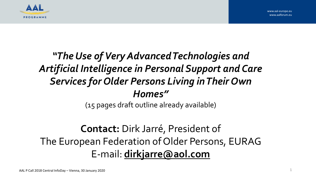



## *"The Use of Very Advanced Technologies and Artificial Intelligence in Personal Support and Care Services for Older Persons Living in Their Own Homes"*

(15 pages draft outline already available)

### **Contact:** Dirk Jarré, President of The European Federation of Older Persons, EURAG E-mail: **[dirkjarre@aol.com](mailto:dirkjarre@aol.com)**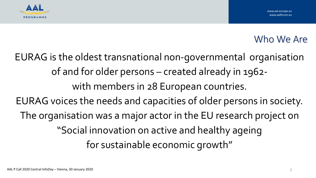



#### Who We Are

EURAG is the oldest transnational non-governmental organisation of and for older persons – created already in 1962 with members in 28 European countries. EURAG voices the needs and capacities of older persons in society. The organisation was a major actor in the EU research project on "Social innovation on active and healthy ageing for sustainable economic growth"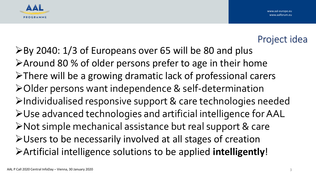



#### Project idea

➢By 2040: 1/3 of Europeans over 65 will be 80 and plus ➢Around 80 % of older persons prefer to age in their home ➢There will be a growing dramatic lack of professional carers ➢Older persons want independence & self-determination ➢Individualised responsive support & care technologies needed ➢Use advanced technologies and artificial intelligence for AAL ➢Not simple mechanical assistance but real support & care ➢Users to be necessarily involved at all stages of creation ➢Artificial intelligence solutions to be applied **intelligently**!